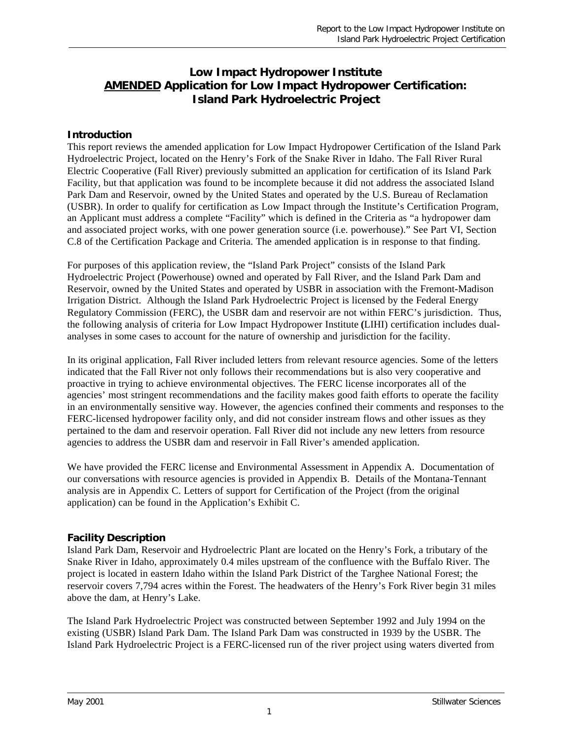# **Low Impact Hydropower Institute AMENDED Application for Low Impact Hydropower Certification: Island Park Hydroelectric Project**

# **Introduction**

This report reviews the amended application for Low Impact Hydropower Certification of the Island Park Hydroelectric Project, located on the Henry's Fork of the Snake River in Idaho. The Fall River Rural Electric Cooperative (Fall River) previously submitted an application for certification of its Island Park Facility, but that application was found to be incomplete because it did not address the associated Island Park Dam and Reservoir, owned by the United States and operated by the U.S. Bureau of Reclamation (USBR). In order to qualify for certification as Low Impact through the Institute's Certification Program, an Applicant must address a complete "Facility" which is defined in the Criteria as "a hydropower dam and associated project works, with one power generation source (i.e. powerhouse)." See Part VI, Section C.8 of the Certification Package and Criteria. The amended application is in response to that finding.

For purposes of this application review, the "Island Park Project" consists of the Island Park Hydroelectric Project (Powerhouse) owned and operated by Fall River, and the Island Park Dam and Reservoir, owned by the United States and operated by USBR in association with the Fremont-Madison Irrigation District. Although the Island Park Hydroelectric Project is licensed by the Federal Energy Regulatory Commission (FERC), the USBR dam and reservoir are not within FERC's jurisdiction. Thus, the following analysis of criteria for Low Impact Hydropower Institute **(**LIHI) certification includes dualanalyses in some cases to account for the nature of ownership and jurisdiction for the facility.

In its original application, Fall River included letters from relevant resource agencies. Some of the letters indicated that the Fall River not only follows their recommendations but is also very cooperative and proactive in trying to achieve environmental objectives. The FERC license incorporates all of the agencies' most stringent recommendations and the facility makes good faith efforts to operate the facility in an environmentally sensitive way. However, the agencies confined their comments and responses to the FERC-licensed hydropower facility only, and did not consider instream flows and other issues as they pertained to the dam and reservoir operation. Fall River did not include any new letters from resource agencies to address the USBR dam and reservoir in Fall River's amended application.

We have provided the FERC license and Environmental Assessment in Appendix A. Documentation of our conversations with resource agencies is provided in Appendix B. Details of the Montana-Tennant analysis are in Appendix C. Letters of support for Certification of the Project (from the original application) can be found in the Application's Exhibit C.

### **Facility Description**

Island Park Dam, Reservoir and Hydroelectric Plant are located on the Henry's Fork, a tributary of the Snake River in Idaho, approximately 0.4 miles upstream of the confluence with the Buffalo River. The project is located in eastern Idaho within the Island Park District of the Targhee National Forest; the reservoir covers 7,794 acres within the Forest. The headwaters of the Henry's Fork River begin 31 miles above the dam, at Henry's Lake.

The Island Park Hydroelectric Project was constructed between September 1992 and July 1994 on the existing (USBR) Island Park Dam. The Island Park Dam was constructed in 1939 by the USBR. The Island Park Hydroelectric Project is a FERC-licensed run of the river project using waters diverted from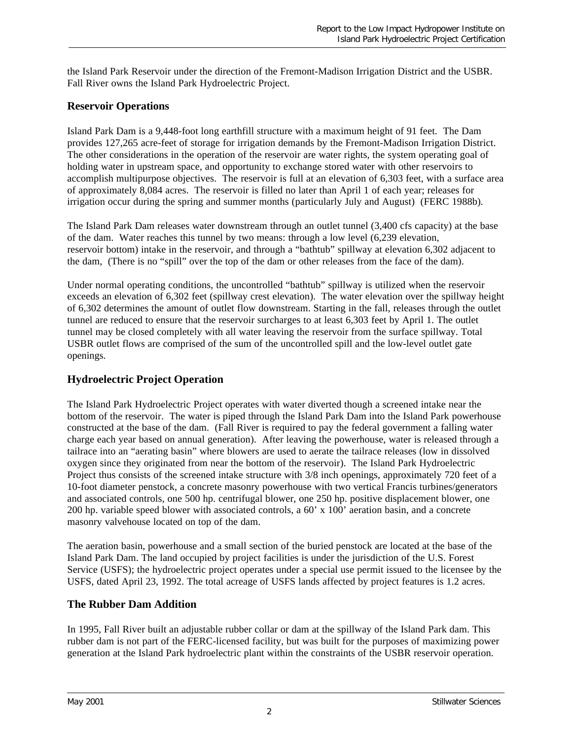the Island Park Reservoir under the direction of the Fremont-Madison Irrigation District and the USBR. Fall River owns the Island Park Hydroelectric Project.

## **Reservoir Operations**

Island Park Dam is a 9,448-foot long earthfill structure with a maximum height of 91 feet. The Dam provides 127,265 acre-feet of storage for irrigation demands by the Fremont-Madison Irrigation District. The other considerations in the operation of the reservoir are water rights, the system operating goal of holding water in upstream space, and opportunity to exchange stored water with other reservoirs to accomplish multipurpose objectives. The reservoir is full at an elevation of 6,303 feet, with a surface area of approximately 8,084 acres. The reservoir is filled no later than April 1 of each year; releases for irrigation occur during the spring and summer months (particularly July and August) (FERC 1988b)*.*

The Island Park Dam releases water downstream through an outlet tunnel (3,400 cfs capacity) at the base of the dam. Water reaches this tunnel by two means: through a low level (6,239 elevation, reservoir bottom) intake in the reservoir, and through a "bathtub" spillway at elevation 6,302 adjacent to the dam, (There is no "spill" over the top of the dam or other releases from the face of the dam).

Under normal operating conditions, the uncontrolled "bathtub" spillway is utilized when the reservoir exceeds an elevation of 6,302 feet (spillway crest elevation). The water elevation over the spillway height of 6,302 determines the amount of outlet flow downstream. Starting in the fall, releases through the outlet tunnel are reduced to ensure that the reservoir surcharges to at least 6,303 feet by April 1. The outlet tunnel may be closed completely with all water leaving the reservoir from the surface spillway. Total USBR outlet flows are comprised of the sum of the uncontrolled spill and the low-level outlet gate openings.

# **Hydroelectric Project Operation**

The Island Park Hydroelectric Project operates with water diverted though a screened intake near the bottom of the reservoir. The water is piped through the Island Park Dam into the Island Park powerhouse constructed at the base of the dam. (Fall River is required to pay the federal government a falling water charge each year based on annual generation). After leaving the powerhouse, water is released through a tailrace into an "aerating basin" where blowers are used to aerate the tailrace releases (low in dissolved oxygen since they originated from near the bottom of the reservoir). The Island Park Hydroelectric Project thus consists of the screened intake structure with 3/8 inch openings, approximately 720 feet of a 10-foot diameter penstock, a concrete masonry powerhouse with two vertical Francis turbines/generators and associated controls, one 500 hp. centrifugal blower, one 250 hp. positive displacement blower, one 200 hp. variable speed blower with associated controls, a 60' x 100' aeration basin, and a concrete masonry valvehouse located on top of the dam.

The aeration basin, powerhouse and a small section of the buried penstock are located at the base of the Island Park Dam. The land occupied by project facilities is under the jurisdiction of the U.S. Forest Service (USFS); the hydroelectric project operates under a special use permit issued to the licensee by the USFS, dated April 23, 1992. The total acreage of USFS lands affected by project features is 1.2 acres.

### **The Rubber Dam Addition**

In 1995, Fall River built an adjustable rubber collar or dam at the spillway of the Island Park dam. This rubber dam is not part of the FERC-licensed facility, but was built for the purposes of maximizing power generation at the Island Park hydroelectric plant within the constraints of the USBR reservoir operation.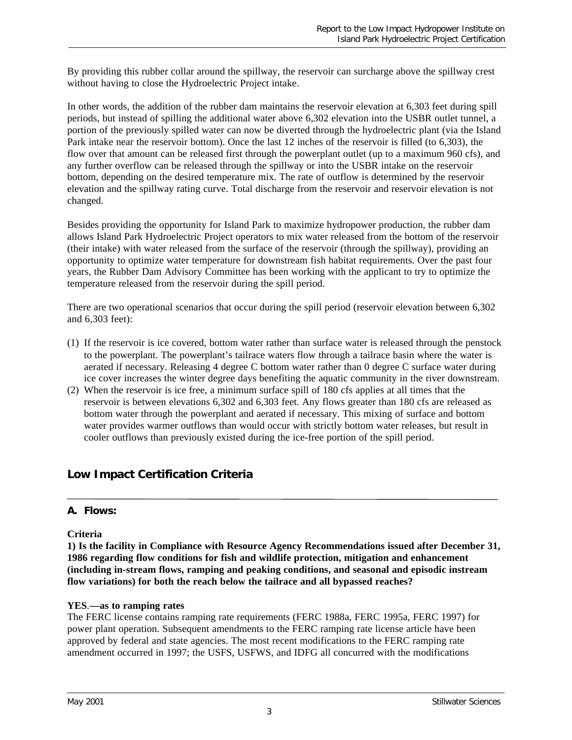By providing this rubber collar around the spillway, the reservoir can surcharge above the spillway crest without having to close the Hydroelectric Project intake.

In other words, the addition of the rubber dam maintains the reservoir elevation at 6,303 feet during spill periods, but instead of spilling the additional water above 6,302 elevation into the USBR outlet tunnel, a portion of the previously spilled water can now be diverted through the hydroelectric plant (via the Island Park intake near the reservoir bottom). Once the last 12 inches of the reservoir is filled (to 6,303), the flow over that amount can be released first through the powerplant outlet (up to a maximum 960 cfs), and any further overflow can be released through the spillway or into the USBR intake on the reservoir bottom, depending on the desired temperature mix. The rate of outflow is determined by the reservoir elevation and the spillway rating curve. Total discharge from the reservoir and reservoir elevation is not changed.

Besides providing the opportunity for Island Park to maximize hydropower production, the rubber dam allows Island Park Hydroelectric Project operators to mix water released from the bottom of the reservoir (their intake) with water released from the surface of the reservoir (through the spillway), providing an opportunity to optimize water temperature for downstream fish habitat requirements. Over the past four years, the Rubber Dam Advisory Committee has been working with the applicant to try to optimize the temperature released from the reservoir during the spill period.

There are two operational scenarios that occur during the spill period (reservoir elevation between 6,302 and 6,303 feet):

- (1) If the reservoir is ice covered, bottom water rather than surface water is released through the penstock to the powerplant. The powerplant's tailrace waters flow through a tailrace basin where the water is aerated if necessary. Releasing 4 degree C bottom water rather than 0 degree C surface water during ice cover increases the winter degree days benefiting the aquatic community in the river downstream.
- (2) When the reservoir is ice free, a minimum surface spill of 180 cfs applies at all times that the reservoir is between elevations 6,302 and 6,303 feet. Any flows greater than 180 cfs are released as bottom water through the powerplant and aerated if necessary. This mixing of surface and bottom water provides warmer outflows than would occur with strictly bottom water releases, but result in cooler outflows than previously existed during the ice-free portion of the spill period.

# **Low Impact Certification Criteria**

#### **A. Flows:**

#### **Criteria**

**1) Is the facility in Compliance with Resource Agency Recommendations issued after December 31, 1986 regarding flow conditions for fish and wildlife protection, mitigation and enhancement (including in-stream flows, ramping and peaking conditions, and seasonal and episodic instream flow variations) for both the reach below the tailrace and all bypassed reaches?**

#### **YES**.**—as to ramping rates**

The FERC license contains ramping rate requirements (FERC 1988a, FERC 1995a, FERC 1997) for power plant operation. Subsequent amendments to the FERC ramping rate license article have been approved by federal and state agencies. The most recent modifications to the FERC ramping rate amendment occurred in 1997; the USFS, USFWS, and IDFG all concurred with the modifications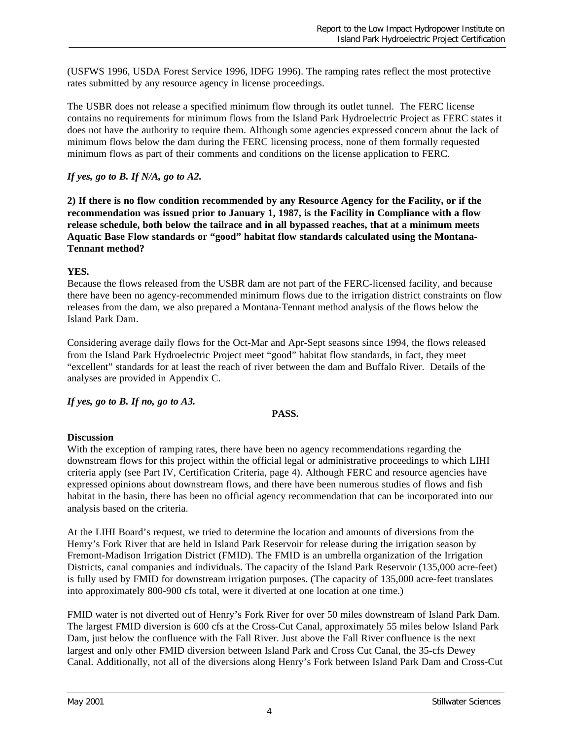(USFWS 1996, USDA Forest Service 1996, IDFG 1996). The ramping rates reflect the most protective rates submitted by any resource agency in license proceedings.

The USBR does not release a specified minimum flow through its outlet tunnel. The FERC license contains no requirements for minimum flows from the Island Park Hydroelectric Project as FERC states it does not have the authority to require them. Although some agencies expressed concern about the lack of minimum flows below the dam during the FERC licensing process, none of them formally requested minimum flows as part of their comments and conditions on the license application to FERC.

### *If yes, go to B. If N/A, go to A2.*

**2) If there is no flow condition recommended by any Resource Agency for the Facility, or if the recommendation was issued prior to January 1, 1987, is the Facility in Compliance with a flow release schedule, both below the tailrace and in all bypassed reaches, that at a minimum meets Aquatic Base Flow standards or "good" habitat flow standards calculated using the Montana-Tennant method?**

#### **YES.**

Because the flows released from the USBR dam are not part of the FERC-licensed facility, and because there have been no agency-recommended minimum flows due to the irrigation district constraints on flow releases from the dam, we also prepared a Montana-Tennant method analysis of the flows below the Island Park Dam.

Considering average daily flows for the Oct-Mar and Apr-Sept seasons since 1994, the flows released from the Island Park Hydroelectric Project meet "good" habitat flow standards, in fact, they meet "excellent" standards for at least the reach of river between the dam and Buffalo River. Details of the analyses are provided in Appendix C.

*If yes, go to B. If no, go to A3.*

#### **PASS.**

#### **Discussion**

With the exception of ramping rates, there have been no agency recommendations regarding the downstream flows for this project within the official legal or administrative proceedings to which LIHI criteria apply (see Part IV, Certification Criteria, page 4). Although FERC and resource agencies have expressed opinions about downstream flows, and there have been numerous studies of flows and fish habitat in the basin, there has been no official agency recommendation that can be incorporated into our analysis based on the criteria.

At the LIHI Board's request, we tried to determine the location and amounts of diversions from the Henry's Fork River that are held in Island Park Reservoir for release during the irrigation season by Fremont-Madison Irrigation District (FMID). The FMID is an umbrella organization of the Irrigation Districts, canal companies and individuals. The capacity of the Island Park Reservoir (135,000 acre-feet) is fully used by FMID for downstream irrigation purposes. (The capacity of 135,000 acre-feet translates into approximately 800-900 cfs total, were it diverted at one location at one time.)

FMID water is not diverted out of Henry's Fork River for over 50 miles downstream of Island Park Dam. The largest FMID diversion is 600 cfs at the Cross-Cut Canal, approximately 55 miles below Island Park Dam, just below the confluence with the Fall River. Just above the Fall River confluence is the next largest and only other FMID diversion between Island Park and Cross Cut Canal, the 35-cfs Dewey Canal. Additionally, not all of the diversions along Henry's Fork between Island Park Dam and Cross-Cut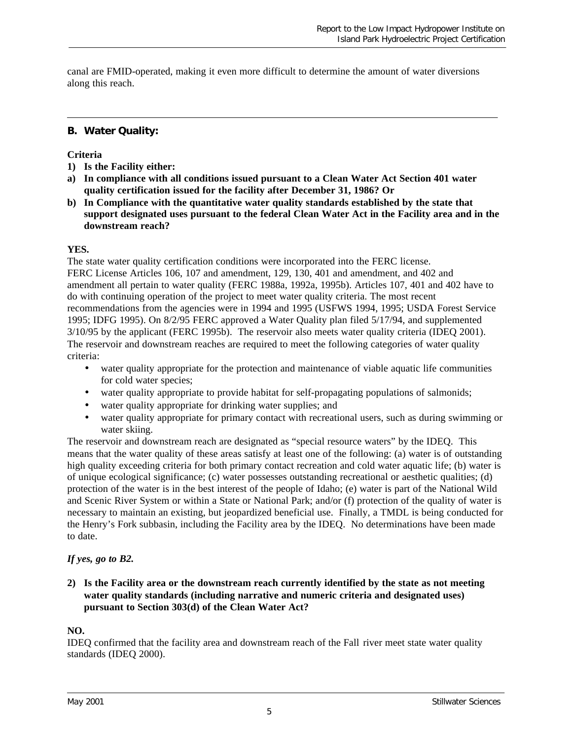canal are FMID-operated, making it even more difficult to determine the amount of water diversions along this reach.

### **B. Water Quality:**

#### **Criteria**

- **1) Is the Facility either:**
- **a) In compliance with all conditions issued pursuant to a Clean Water Act Section 401 water quality certification issued for the facility after December 31, 1986? Or**
- **b) In Compliance with the quantitative water quality standards established by the state that support designated uses pursuant to the federal Clean Water Act in the Facility area and in the downstream reach?**

### **YES.**

The state water quality certification conditions were incorporated into the FERC license. FERC License Articles 106, 107 and amendment, 129, 130, 401 and amendment, and 402 and amendment all pertain to water quality (FERC 1988a, 1992a, 1995b). Articles 107, 401 and 402 have to do with continuing operation of the project to meet water quality criteria. The most recent recommendations from the agencies were in 1994 and 1995 (USFWS 1994, 1995; USDA Forest Service 1995; IDFG 1995). On 8/2/95 FERC approved a Water Quality plan filed 5/17/94, and supplemented 3/10/95 by the applicant (FERC 1995b). The reservoir also meets water quality criteria (IDEQ 2001). The reservoir and downstream reaches are required to meet the following categories of water quality criteria:

- water quality appropriate for the protection and maintenance of viable aquatic life communities for cold water species;
- water quality appropriate to provide habitat for self-propagating populations of salmonids;
- water quality appropriate for drinking water supplies; and
- water quality appropriate for primary contact with recreational users, such as during swimming or water skiing.

The reservoir and downstream reach are designated as "special resource waters" by the IDEQ. This means that the water quality of these areas satisfy at least one of the following: (a) water is of outstanding high quality exceeding criteria for both primary contact recreation and cold water aquatic life; (b) water is of unique ecological significance; (c) water possesses outstanding recreational or aesthetic qualities; (d) protection of the water is in the best interest of the people of Idaho; (e) water is part of the National Wild and Scenic River System or within a State or National Park; and/or (f) protection of the quality of water is necessary to maintain an existing, but jeopardized beneficial use. Finally, a TMDL is being conducted for the Henry's Fork subbasin, including the Facility area by the IDEQ. No determinations have been made to date.

### *If yes, go to B2.*

**2) Is the Facility area or the downstream reach currently identified by the state as not meeting water quality standards (including narrative and numeric criteria and designated uses) pursuant to Section 303(d) of the Clean Water Act?**

#### **NO.**

IDEQ confirmed that the facility area and downstream reach of the Fall river meet state water quality standards (IDEQ 2000).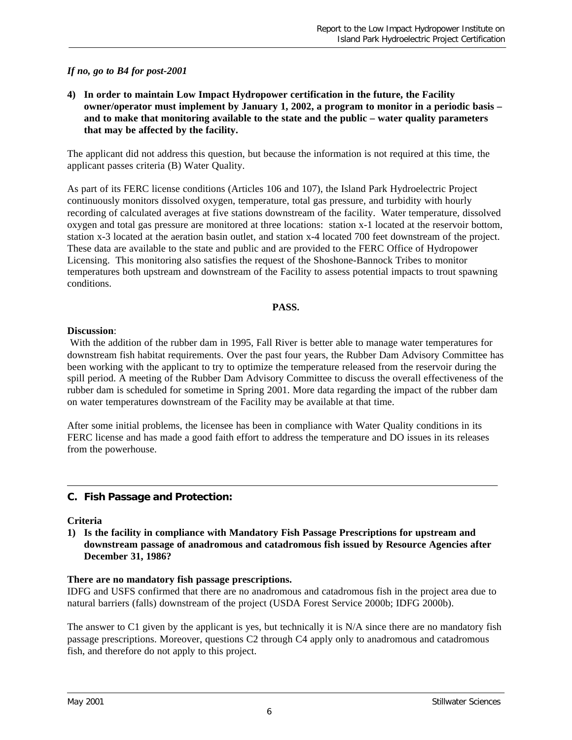### *If no, go to B4 for post-2001*

**4) In order to maintain Low Impact Hydropower certification in the future, the Facility owner/operator must implement by January 1, 2002, a program to monitor in a periodic basis – and to make that monitoring available to the state and the public – water quality parameters that may be affected by the facility.**

The applicant did not address this question, but because the information is not required at this time, the applicant passes criteria (B) Water Quality.

As part of its FERC license conditions (Articles 106 and 107), the Island Park Hydroelectric Project continuously monitors dissolved oxygen, temperature, total gas pressure, and turbidity with hourly recording of calculated averages at five stations downstream of the facility. Water temperature, dissolved oxygen and total gas pressure are monitored at three locations: station x-1 located at the reservoir bottom, station x-3 located at the aeration basin outlet, and station x-4 located 700 feet downstream of the project. These data are available to the state and public and are provided to the FERC Office of Hydropower Licensing. This monitoring also satisfies the request of the Shoshone-Bannock Tribes to monitor temperatures both upstream and downstream of the Facility to assess potential impacts to trout spawning conditions.

#### **PASS.**

#### **Discussion**:

With the addition of the rubber dam in 1995, Fall River is better able to manage water temperatures for downstream fish habitat requirements. Over the past four years, the Rubber Dam Advisory Committee has been working with the applicant to try to optimize the temperature released from the reservoir during the spill period. A meeting of the Rubber Dam Advisory Committee to discuss the overall effectiveness of the rubber dam is scheduled for sometime in Spring 2001. More data regarding the impact of the rubber dam on water temperatures downstream of the Facility may be available at that time.

After some initial problems, the licensee has been in compliance with Water Quality conditions in its FERC license and has made a good faith effort to address the temperature and DO issues in its releases from the powerhouse.

#### **C. Fish Passage and Protection:**

#### **Criteria**

**1) Is the facility in compliance with Mandatory Fish Passage Prescriptions for upstream and downstream passage of anadromous and catadromous fish issued by Resource Agencies after December 31, 1986?**

#### **There are no mandatory fish passage prescriptions.**

IDFG and USFS confirmed that there are no anadromous and catadromous fish in the project area due to natural barriers (falls) downstream of the project (USDA Forest Service 2000b; IDFG 2000b).

The answer to C1 given by the applicant is yes, but technically it is N/A since there are no mandatory fish passage prescriptions. Moreover, questions C2 through C4 apply only to anadromous and catadromous fish, and therefore do not apply to this project.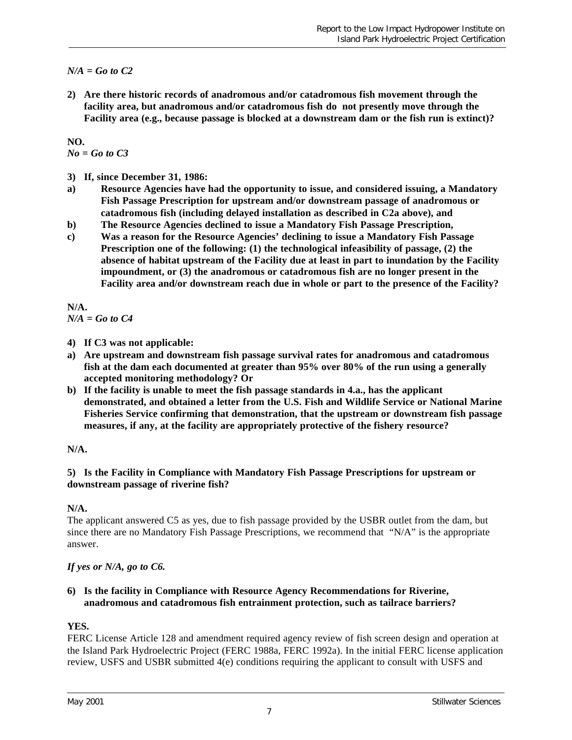*N/A = Go to C2*

**2) Are there historic records of anadromous and/or catadromous fish movement through the facility area, but anadromous and/or catadromous fish do not presently move through the Facility area (e.g., because passage is blocked at a downstream dam or the fish run is extinct)?**

**NO.** *No = Go to C3*

- **3) If, since December 31, 1986:**
- **a) Resource Agencies have had the opportunity to issue, and considered issuing, a Mandatory Fish Passage Prescription for upstream and/or downstream passage of anadromous or catadromous fish (including delayed installation as described in C2a above), and**
- **b) The Resource Agencies declined to issue a Mandatory Fish Passage Prescription,**
- **c) Was a reason for the Resource Agencies' declining to issue a Mandatory Fish Passage Prescription one of the following: (1) the technological infeasibility of passage, (2) the absence of habitat upstream of the Facility due at least in part to inundation by the Facility impoundment, or (3) the anadromous or catadromous fish are no longer present in the Facility area and/or downstream reach due in whole or part to the presence of the Facility?**

**N/A.** *N/A = Go to C4*

- **4) If C3 was not applicable:**
- **a) Are upstream and downstream fish passage survival rates for anadromous and catadromous fish at the dam each documented at greater than 95% over 80% of the run using a generally accepted monitoring methodology? Or**
- **b) If the facility is unable to meet the fish passage standards in 4.a., has the applicant demonstrated, and obtained a letter from the U.S. Fish and Wildlife Service or National Marine Fisheries Service confirming that demonstration, that the upstream or downstream fish passage measures, if any, at the facility are appropriately protective of the fishery resource?**

### **N/A.**

### **5) Is the Facility in Compliance with Mandatory Fish Passage Prescriptions for upstream or downstream passage of riverine fish?**

### **N/A.**

The applicant answered C5 as yes, due to fish passage provided by the USBR outlet from the dam, but since there are no Mandatory Fish Passage Prescriptions, we recommend that "N/A" is the appropriate answer.

### *If yes or N/A, go to C6.*

### **6) Is the facility in Compliance with Resource Agency Recommendations for Riverine, anadromous and catadromous fish entrainment protection, such as tailrace barriers?**

### **YES.**

FERC License Article 128 and amendment required agency review of fish screen design and operation at the Island Park Hydroelectric Project (FERC 1988a, FERC 1992a). In the initial FERC license application review, USFS and USBR submitted 4(e) conditions requiring the applicant to consult with USFS and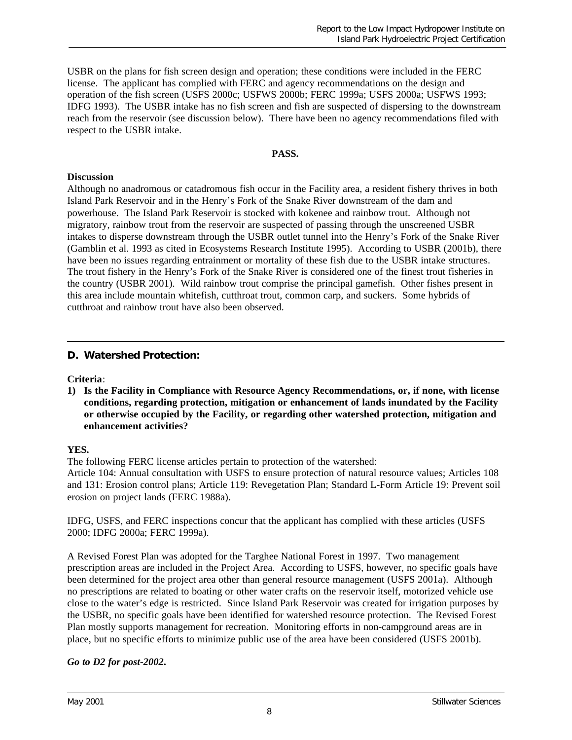USBR on the plans for fish screen design and operation; these conditions were included in the FERC license. The applicant has complied with FERC and agency recommendations on the design and operation of the fish screen (USFS 2000c; USFWS 2000b; FERC 1999a; USFS 2000a; USFWS 1993; IDFG 1993). The USBR intake has no fish screen and fish are suspected of dispersing to the downstream reach from the reservoir (see discussion below). There have been no agency recommendations filed with respect to the USBR intake.

#### **PASS.**

#### **Discussion**

Although no anadromous or catadromous fish occur in the Facility area, a resident fishery thrives in both Island Park Reservoir and in the Henry's Fork of the Snake River downstream of the dam and powerhouse. The Island Park Reservoir is stocked with kokenee and rainbow trout. Although not migratory, rainbow trout from the reservoir are suspected of passing through the unscreened USBR intakes to disperse downstream through the USBR outlet tunnel into the Henry's Fork of the Snake River (Gamblin et al. 1993 as cited in Ecosystems Research Institute 1995). According to USBR (2001b), there have been no issues regarding entrainment or mortality of these fish due to the USBR intake structures. The trout fishery in the Henry's Fork of the Snake River is considered one of the finest trout fisheries in the country (USBR 2001). Wild rainbow trout comprise the principal gamefish. Other fishes present in this area include mountain whitefish, cutthroat trout, common carp, and suckers. Some hybrids of cutthroat and rainbow trout have also been observed.

### **D. Watershed Protection:**

#### **Criteria**:

**1) Is the Facility in Compliance with Resource Agency Recommendations, or, if none, with license conditions, regarding protection, mitigation or enhancement of lands inundated by the Facility or otherwise occupied by the Facility, or regarding other watershed protection, mitigation and enhancement activities?**

#### **YES.**

The following FERC license articles pertain to protection of the watershed: Article 104: Annual consultation with USFS to ensure protection of natural resource values; Articles 108

and 131: Erosion control plans; Article 119: Revegetation Plan; Standard L-Form Article 19: Prevent soil erosion on project lands (FERC 1988a).

IDFG, USFS, and FERC inspections concur that the applicant has complied with these articles (USFS 2000; IDFG 2000a; FERC 1999a).

A Revised Forest Plan was adopted for the Targhee National Forest in 1997. Two management prescription areas are included in the Project Area. According to USFS, however, no specific goals have been determined for the project area other than general resource management (USFS 2001a). Although no prescriptions are related to boating or other water crafts on the reservoir itself, motorized vehicle use close to the water's edge is restricted. Since Island Park Reservoir was created for irrigation purposes by the USBR, no specific goals have been identified for watershed resource protection. The Revised Forest Plan mostly supports management for recreation. Monitoring efforts in non-campground areas are in place, but no specific efforts to minimize public use of the area have been considered (USFS 2001b).

### *Go to D2 for post-2002***.**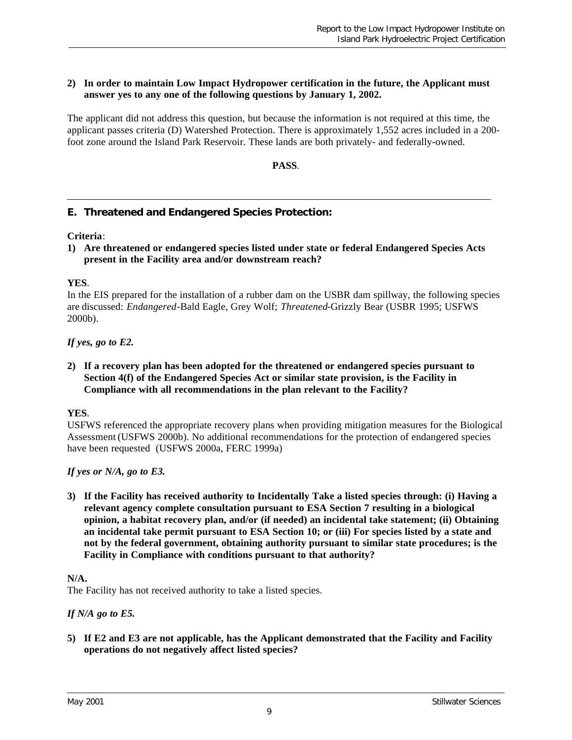### **2) In order to maintain Low Impact Hydropower certification in the future, the Applicant must answer yes to any one of the following questions by January 1, 2002.**

The applicant did not address this question, but because the information is not required at this time, the applicant passes criteria (D) Watershed Protection. There is approximately 1,552 acres included in a 200 foot zone around the Island Park Reservoir. These lands are both privately- and federally-owned.

**PASS**.

# **E. Threatened and Endangered Species Protection:**

### **Criteria**:

**1) Are threatened or endangered species listed under state or federal Endangered Species Acts present in the Facility area and/or downstream reach?**

#### **YES**.

In the EIS prepared for the installation of a rubber dam on the USBR dam spillway, the following species are discussed: *Endangered*-Bald Eagle, Grey Wolf; *Threatened*-Grizzly Bear (USBR 1995; USFWS 2000b).

### *If yes, go to E2.*

**2) If a recovery plan has been adopted for the threatened or endangered species pursuant to Section 4(f) of the Endangered Species Act or similar state provision, is the Facility in Compliance with all recommendations in the plan relevant to the Facility?**

#### **YES**.

USFWS referenced the appropriate recovery plans when providing mitigation measures for the Biological Assessment (USFWS 2000b). No additional recommendations for the protection of endangered species have been requested (USFWS 2000a, FERC 1999a)

*If yes or N/A, go to E3.*

**3) If the Facility has received authority to Incidentally Take a listed species through: (i) Having a relevant agency complete consultation pursuant to ESA Section 7 resulting in a biological opinion, a habitat recovery plan, and/or (if needed) an incidental take statement; (ii) Obtaining an incidental take permit pursuant to ESA Section 10; or (iii) For species listed by a state and not by the federal government, obtaining authority pursuant to similar state procedures; is the Facility in Compliance with conditions pursuant to that authority?**

#### **N/A.**

The Facility has not received authority to take a listed species.

#### *If N/A go to E5.*

**5) If E2 and E3 are not applicable, has the Applicant demonstrated that the Facility and Facility operations do not negatively affect listed species?**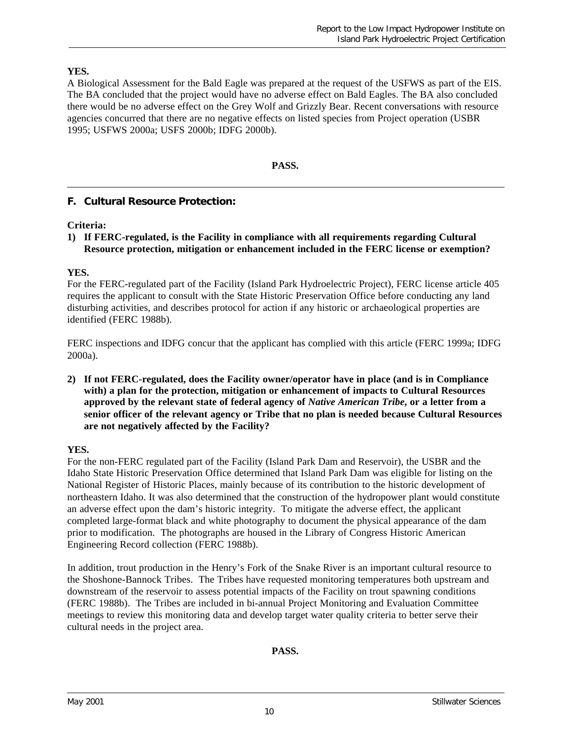### **YES.**

A Biological Assessment for the Bald Eagle was prepared at the request of the USFWS as part of the EIS. The BA concluded that the project would have no adverse effect on Bald Eagles. The BA also concluded there would be no adverse effect on the Grey Wolf and Grizzly Bear. Recent conversations with resource agencies concurred that there are no negative effects on listed species from Project operation (USBR 1995; USFWS 2000a; USFS 2000b; IDFG 2000b).

#### **PASS.**

### **F. Cultural Resource Protection:**

### **Criteria:**

**1) If FERC-regulated, is the Facility in compliance with all requirements regarding Cultural Resource protection, mitigation or enhancement included in the FERC license or exemption?**

### **YES.**

For the FERC-regulated part of the Facility (Island Park Hydroelectric Project), FERC license article 405 requires the applicant to consult with the State Historic Preservation Office before conducting any land disturbing activities, and describes protocol for action if any historic or archaeological properties are identified (FERC 1988b).

FERC inspections and IDFG concur that the applicant has complied with this article (FERC 1999a; IDFG 2000a).

**2) If not FERC-regulated, does the Facility owner/operator have in place (and is in Compliance with) a plan for the protection, mitigation or enhancement of impacts to Cultural Resources approved by the relevant state of federal agency of** *Native American Tribe***, or a letter from a senior officer of the relevant agency or Tribe that no plan is needed because Cultural Resources are not negatively affected by the Facility?**

#### **YES.**

For the non-FERC regulated part of the Facility (Island Park Dam and Reservoir), the USBR and the Idaho State Historic Preservation Office determined that Island Park Dam was eligible for listing on the National Register of Historic Places, mainly because of its contribution to the historic development of northeastern Idaho. It was also determined that the construction of the hydropower plant would constitute an adverse effect upon the dam's historic integrity. To mitigate the adverse effect, the applicant completed large-format black and white photography to document the physical appearance of the dam prior to modification. The photographs are housed in the Library of Congress Historic American Engineering Record collection (FERC 1988b).

In addition, trout production in the Henry's Fork of the Snake River is an important cultural resource to the Shoshone-Bannock Tribes. The Tribes have requested monitoring temperatures both upstream and downstream of the reservoir to assess potential impacts of the Facility on trout spawning conditions (FERC 1988b). The Tribes are included in bi-annual Project Monitoring and Evaluation Committee meetings to review this monitoring data and develop target water quality criteria to better serve their cultural needs in the project area.

**PASS.**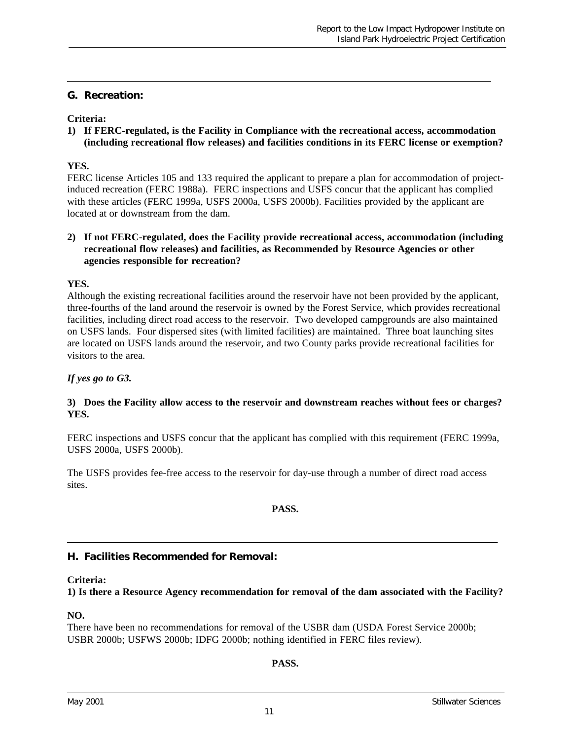### **G. Recreation:**

### **Criteria:**

**1) If FERC-regulated, is the Facility in Compliance with the recreational access, accommodation (including recreational flow releases) and facilities conditions in its FERC license or exemption?**

### **YES.**

FERC license Articles 105 and 133 required the applicant to prepare a plan for accommodation of projectinduced recreation (FERC 1988a). FERC inspections and USFS concur that the applicant has complied with these articles (FERC 1999a, USFS 2000a, USFS 2000b). Facilities provided by the applicant are located at or downstream from the dam.

### **2) If not FERC-regulated, does the Facility provide recreational access, accommodation (including recreational flow releases) and facilities, as Recommended by Resource Agencies or other agencies responsible for recreation?**

### **YES.**

Although the existing recreational facilities around the reservoir have not been provided by the applicant, three-fourths of the land around the reservoir is owned by the Forest Service, which provides recreational facilities, including direct road access to the reservoir. Two developed campgrounds are also maintained on USFS lands. Four dispersed sites (with limited facilities) are maintained. Three boat launching sites are located on USFS lands around the reservoir, and two County parks provide recreational facilities for visitors to the area.

### *If yes go to G3.*

### **3) Does the Facility allow access to the reservoir and downstream reaches without fees or charges? YES.**

FERC inspections and USFS concur that the applicant has complied with this requirement (FERC 1999a, USFS 2000a, USFS 2000b).

The USFS provides fee-free access to the reservoir for day-use through a number of direct road access sites.

### **PASS.**

# **H. Facilities Recommended for Removal:**

### **Criteria:**

**1) Is there a Resource Agency recommendation for removal of the dam associated with the Facility?**

#### **NO.**

There have been no recommendations for removal of the USBR dam (USDA Forest Service 2000b; USBR 2000b; USFWS 2000b; IDFG 2000b; nothing identified in FERC files review).

### **PASS.**